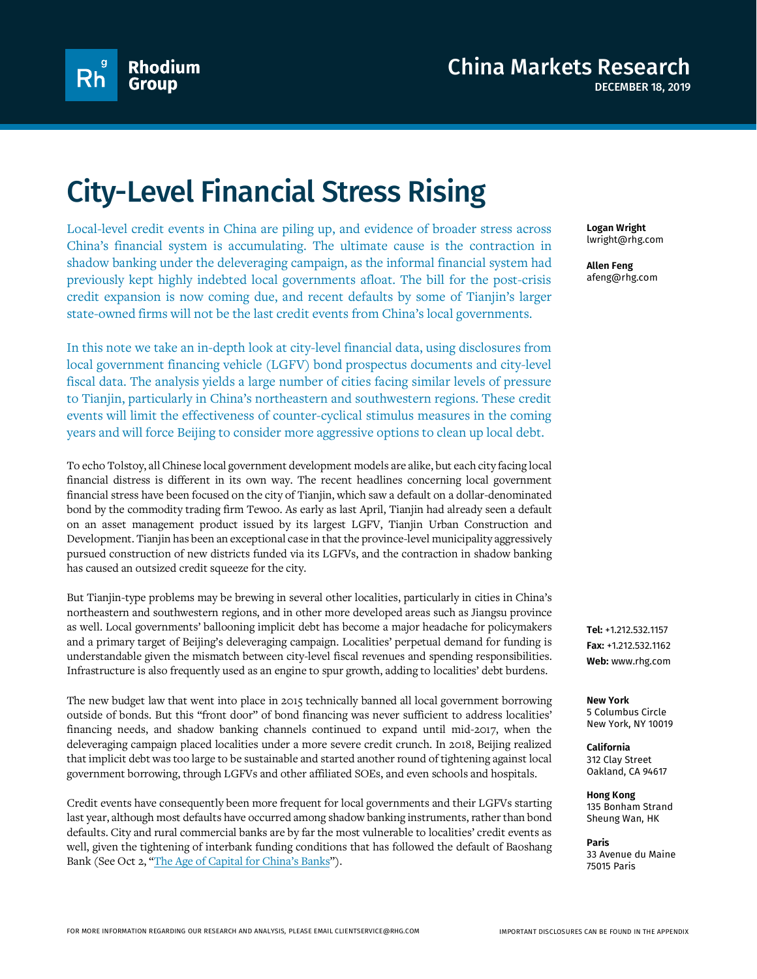

# City-Level Financial Stress Rising

Local-level credit events in China are piling up, and evidence of broader stress across China's financial system is accumulating. The ultimate cause is the contraction in shadow banking under the deleveraging campaign, as the informal financial system had previously kept highly indebted local governments afloat. The bill for the post-crisis credit expansion is now coming due, and recent defaults by some of Tianjin's larger state-owned firms will not be the last credit events from China's local governments.

In this note we take an in-depth look at city-level financial data, using disclosures from local government financing vehicle (LGFV) bond prospectus documents and city-level fiscal data. The analysis yields a large number of cities facing similar levels of pressure to Tianjin, particularly in China's northeastern and southwestern regions. These credit events will limit the effectiveness of counter-cyclical stimulus measures in the coming years and will force Beijing to consider more aggressive options to clean up local debt.

To echo Tolstoy, all Chinese local government development models are alike, but each city facing local financial distress is different in its own way. The recent headlines concerning local government financial stress have been focused on the city of Tianjin, which saw a default on a dollar-denominated bond by the commodity trading firm Tewoo. As early as last April, Tianjin had already seen a default on an asset management product issued by its largest LGFV, Tianjin Urban Construction and Development. Tianjin has been an exceptional case in that the province-level municipality aggressively pursued construction of new districts funded via its LGFVs, and the contraction in shadow banking has caused an outsized credit squeeze for the city.

But Tianjin-type problems may be brewing in several other localities, particularly in cities in China's northeastern and southwestern regions, and in other more developed areas such as Jiangsu province as well. Local governments' ballooning implicit debt has become a major headache for policymakers and a primary target of Beijing's deleveraging campaign. Localities' perpetual demand for funding is understandable given the mismatch between city-level fiscal revenues and spending responsibilities. Infrastructure is also frequently used as an engine to spur growth, adding to localities' debt burdens.

The new budget law that went into place in 2015 technically banned all local government borrowing outside of bonds. But this "front door" of bond financing was never sufficient to address localities' financing needs, and shadow banking channels continued to expand until mid-2017, when the deleveraging campaign placed localities under a more severe credit crunch. In 2018, Beijing realized that implicit debt was too large to be sustainable and started another round of tightening against local government borrowing, through LGFVs and other affiliated SOEs, and even schools and hospitals.

Credit events have consequently been more frequent for local governments and their LGFVs starting last year, although most defaults have occurred among shadow banking instruments, rather than bond defaults. City and rural commercial banks are by far the most vulnerable to localities' credit events as well, given the tightening of interbank funding conditions that has followed the default of Baoshang Bank (See Oct 2, ["The Age of Capital for China's Banks"](http://cmr.rhg.com/wp-content/uploads/2019/10/RHG_China_AgeofCapital_2Oct2019.pdf)).

**Logan Wright** lwright@rhg.com

**Allen Feng** afeng@rhg.com

**Tel:** +1.212.532.1157 **Fax:** +1.212.532.1162 **Web:** www.rhg.com

**New York** 5 Columbus Circle New York, NY 10019

**California** 312 Clay Street Oakland, CA 94617

**Hong Kong** 135 Bonham Strand Sheung Wan, HK

**Paris** 33 Avenue du Maine 75015 Paris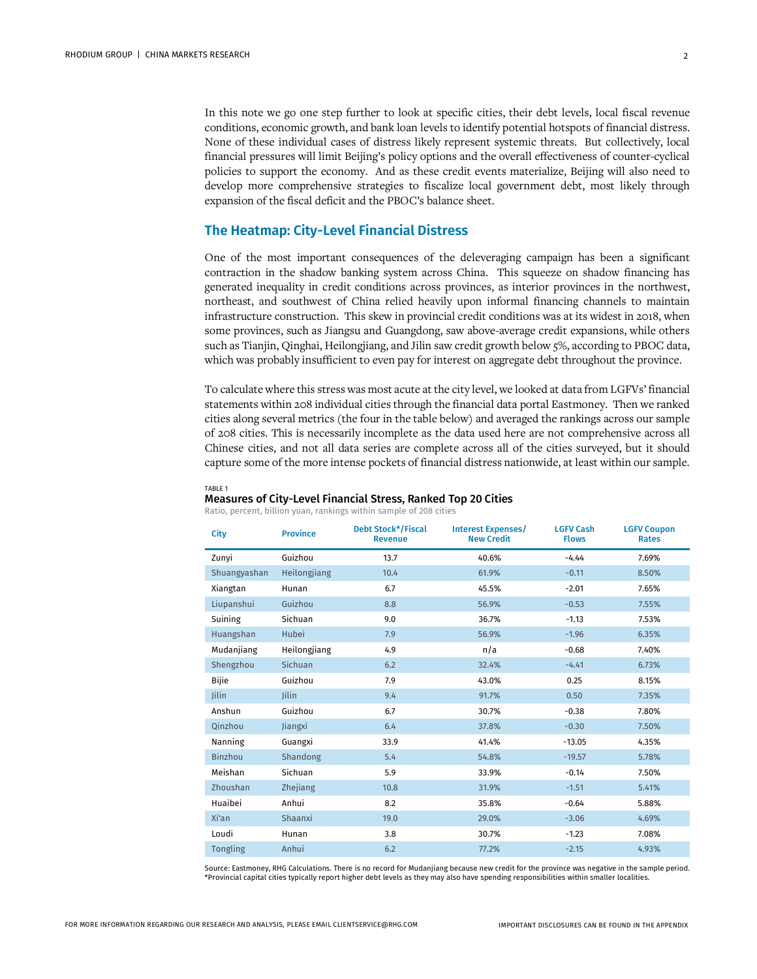In this note we go one step further to look at specific cities, their debt levels, local fiscal revenue conditions, economic growth, and bank loan levels to identify potential hotspots of financial distress. None of these individual cases of distress likely represent systemic threats. But collectively, local financial pressures will limit Beijing's policy options and the overall effectiveness of counter-cyclical policies to support the economy. And as these credit events materialize, Beijing will also need to develop more comprehensive strategies to fiscalize local government debt, most likely through expansion of the fiscal deficit and the PBOC's balance sheet.

# **The Heatmap: City-Level Financial Distress**

One of the most important consequences of the deleveraging campaign has been a significant contraction in the shadow banking system across China. This squeeze on shadow financing has generated inequality in credit conditions across provinces, as interior provinces in the northwest, northeast, and southwest of China relied heavily upon informal financing channels to maintain infrastructure construction. This skew in provincial credit conditions was at its widest in 2018, when some provinces, such as Jiangsu and Guangdong, saw above-average credit expansions, while others such as Tianjin, Qinghai, Heilongjiang, and Jilin saw credit growth below 5%, according to PBOC data, which was probably insufficient to even pay for interest on aggregate debt throughout the province.

To calculate where this stress was most acute at the city level, we looked at data from LGFVs' financial statements within 208 individual cities through the financial data portal Eastmoney. Then we ranked cities along several metrics (the four in the table below) and averaged the rankings across our sample of 208 cities. This is necessarily incomplete as the data used here are not comprehensive across all Chinese cities, and not all data series are complete across all of the cities surveyed, but it should capture some of the more intense pockets of financial distress nationwide, at least within our sample.

#### TABLE 1

#### Measures of City-Level Financial Stress, Ranked Top 20 Cities

Ratio, percent, billion yuan, rankings within sample of 208 cities

| City           | <b>Province</b> | <b>Debt Stock*/Fiscal</b><br><b>Revenue</b> | <b>Interest Expenses/</b><br><b>New Credit</b> | <b>LGFV Cash</b><br><b>Flows</b> | <b>LGFV Coupon</b><br><b>Rates</b> |
|----------------|-----------------|---------------------------------------------|------------------------------------------------|----------------------------------|------------------------------------|
| Zunyi          | Guizhou         | 13.7                                        | 40.6%                                          | $-4.44$                          | 7.69%                              |
| Shuangyashan   | Heilongjiang    | 10.4                                        | 61.9%                                          | $-0.11$                          | 8.50%                              |
| Xiangtan       | Hunan           | 6.7                                         | 45.5%                                          | $-2.01$                          | 7.65%                              |
| Liupanshui     | Guizhou         | 8.8                                         | 56.9%                                          | $-0.53$                          | 7.55%                              |
| Suining        | Sichuan         | 9.0                                         | 36.7%                                          | $-1.13$                          | 7.53%                              |
| Huangshan      | Hubei           | 7.9                                         | 56.9%                                          | $-1.96$                          | 6.35%                              |
| Mudanjiang     | Heilongjiang    | 4.9                                         | n/a                                            | $-0.68$                          | 7.40%                              |
| Shengzhou      | Sichuan         | 6.2                                         | 32.4%                                          | $-4.41$                          | 6.73%                              |
| Bijie          | Guizhou         | 7.9                                         | 43.0%                                          | 0.25                             | 8.15%                              |
| <b>Jilin</b>   | <b>lilin</b>    | 9.4                                         | 91.7%                                          | 0.50                             | 7.35%                              |
| Anshun         | Guizhou         | 6.7                                         | 30.7%                                          | $-0.38$                          | 7.80%                              |
| Qinzhou        | Jiangxi         | 6.4                                         | 37.8%                                          | $-0.30$                          | 7.50%                              |
| Nanning        | Guangxi         | 33.9                                        | 41.4%                                          | $-13.05$                         | 4.35%                              |
| <b>Binzhou</b> | Shandong        | 5.4                                         | 54.8%                                          | $-19.57$                         | 5.78%                              |
| Meishan        | Sichuan         | 5.9                                         | 33.9%                                          | $-0.14$                          | 7.50%                              |
| Zhoushan       | Zhejiang        | 10.8                                        | 31.9%                                          | $-1.51$                          | 5.41%                              |
| Huaibei        | Anhui           | 8.2                                         | 35.8%                                          | $-0.64$                          | 5.88%                              |
| Xi'an          | Shaanxi         | 19.0                                        | 29.0%                                          | $-3.06$                          | 4.69%                              |
| Loudi          | Hunan           | 3.8                                         | 30.7%                                          | $-1.23$                          | 7.08%                              |
| Tongling       | Anhui           | 6.2                                         | 77.2%                                          | $-2.15$                          | 4.93%                              |

Source: Eastmoney, RHG Calculations. There is no record for Mudanjiang because new credit for the province was negative in the sample period. \*Provincial capital cities typically report higher debt levels as they may also have spending responsibilities within smaller localities.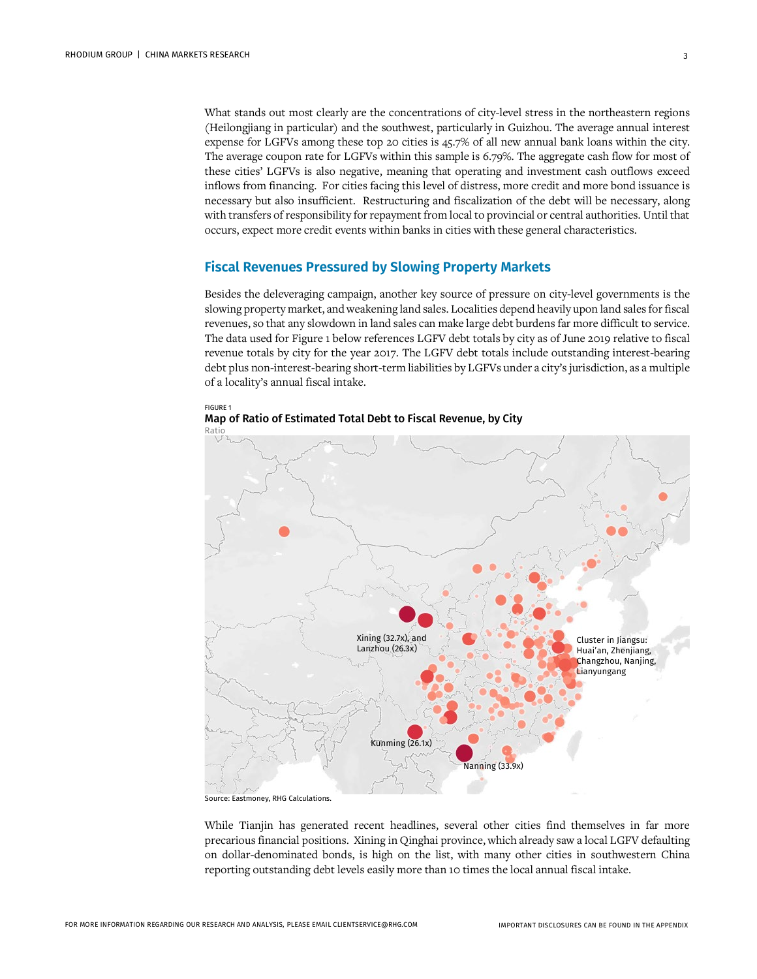What stands out most clearly are the concentrations of city-level stress in the northeastern regions (Heilongjiang in particular) and the southwest, particularly in Guizhou. The average annual interest expense for LGFVs among these top 20 cities is 45.7% of all new annual bank loans within the city. The average coupon rate for LGFVs within this sample is 6.79%. The aggregate cash flow for most of these cities' LGFVs is also negative, meaning that operating and investment cash outflows exceed inflows from financing. For cities facing this level of distress, more credit and more bond issuance is necessary but also insufficient. Restructuring and fiscalization of the debt will be necessary, along with transfers of responsibility for repayment from local to provincial or central authorities. Until that occurs, expect more credit events within banks in cities with these general characteristics.

#### **Fiscal Revenues Pressured by Slowing Property Markets**

Besides the deleveraging campaign, another key source of pressure on city-level governments is the slowing property market, and weakening land sales. Localities depend heavily upon land sales for fiscal revenues, so that any slowdown in land sales can make large debt burdens far more difficult to service. The data used for Figure 1 below references LGFV debt totals by city as of June 2019 relative to fiscal revenue totals by city for the year 2017. The LGFV debt totals include outstanding interest-bearing debt plus non-interest-bearing short-term liabilities by LGFVs under a city's jurisdiction, as a multiple of a locality's annual fiscal intake.



FIGURE 1 Map of Ratio of Estimated Total Debt to Fiscal Revenue, by City Ratio

Source: Eastmoney, RHG Calculations.

While Tianjin has generated recent headlines, several other cities find themselves in far more precarious financial positions. Xining in Qinghai province, which already saw a local LGFV defaulting on dollar-denominated bonds, is high on the list, with many other cities in southwestern China reporting outstanding debt levels easily more than 10 times the local annual fiscal intake.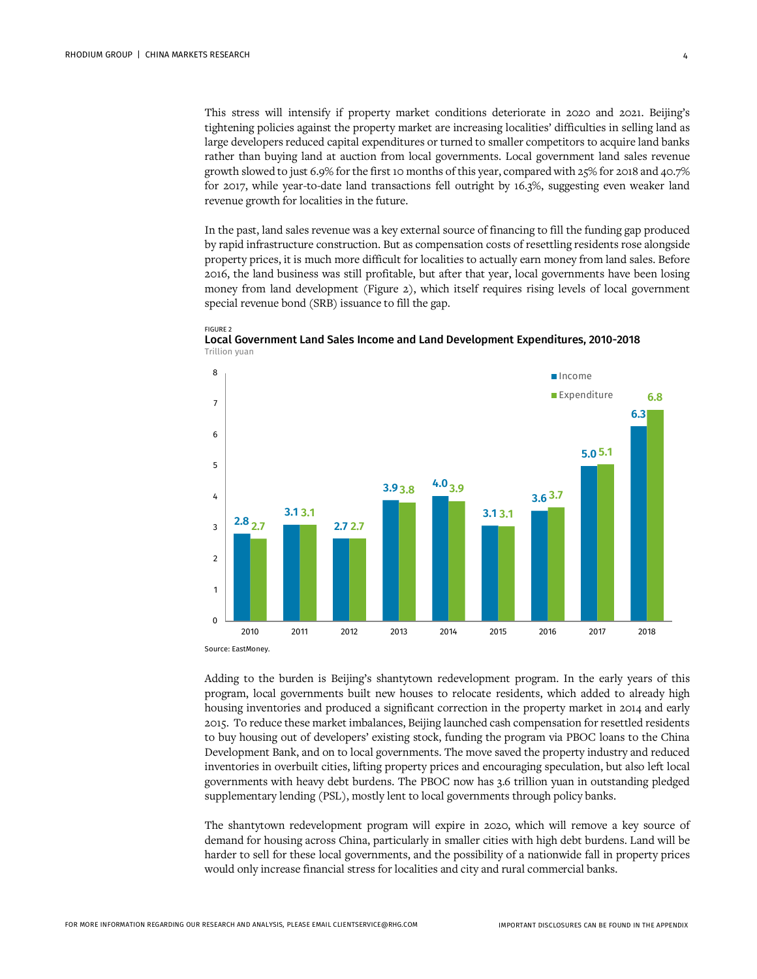This stress will intensify if property market conditions deteriorate in 2020 and 2021. Beijing's tightening policies against the property market are increasing localities' difficulties in selling land as large developers reduced capital expenditures or turned to smaller competitors to acquire land banks rather than buying land at auction from local governments. Local government land sales revenue growth slowed to just 6.9% for the first 10 months of this year, compared with 25% for 2018 and 40.7% for 2017, while year-to-date land transactions fell outright by 16.3%, suggesting even weaker land revenue growth for localities in the future.

In the past, land sales revenue was a key external source of financing to fill the funding gap produced by rapid infrastructure construction. But as compensation costs of resettling residents rose alongside property prices, it is much more difficult for localities to actually earn money from land sales. Before 2016, the land business was still profitable, but after that year, local governments have been losing money from land development (Figure 2), which itself requires rising levels of local government special revenue bond (SRB) issuance to fill the gap.







Source: EastMoney.

Adding to the burden is Beijing's shantytown redevelopment program. In the early years of this program, local governments built new houses to relocate residents, which added to already high housing inventories and produced a significant correction in the property market in 2014 and early 2015. To reduce these market imbalances, Beijing launched cash compensation for resettled residents to buy housing out of developers' existing stock, funding the program via PBOC loans to the China Development Bank, and on to local governments. The move saved the property industry and reduced inventories in overbuilt cities, lifting property prices and encouraging speculation, but also left local governments with heavy debt burdens. The PBOC now has 3.6 trillion yuan in outstanding pledged supplementary lending (PSL), mostly lent to local governments through policy banks.

The shantytown redevelopment program will expire in 2020, which will remove a key source of demand for housing across China, particularly in smaller cities with high debt burdens. Land will be harder to sell for these local governments, and the possibility of a nationwide fall in property prices would only increase financial stress for localities and city and rural commercial banks.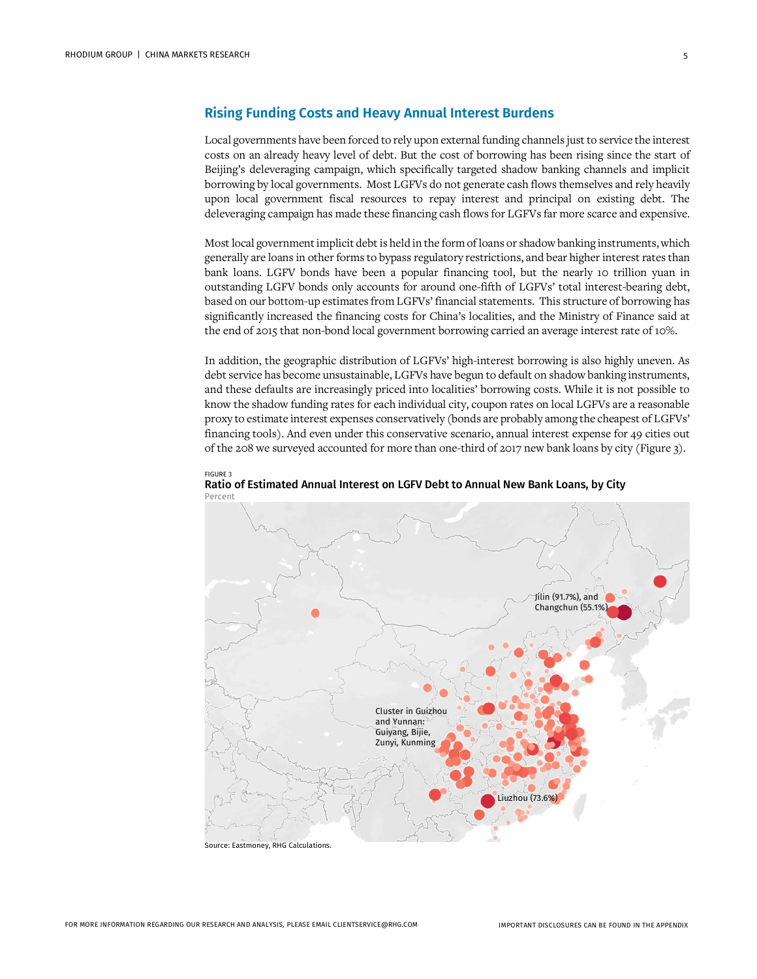### **Rising Funding Costs and Heavy Annual Interest Burdens**

Local governments have been forced to rely upon external funding channels just to service the interest costs on an already heavy level of debt. But the cost of borrowing has been rising since the start of Beijing's deleveraging campaign, which specifically targeted shadow banking channels and implicit borrowing by local governments. Most LGFVs do not generate cash flows themselves and rely heavily upon local government fiscal resources to repay interest and principal on existing debt. The deleveraging campaign has made these financing cash flows for LGFVs far more scarce and expensive.

Most local government implicit debt is held in the form of loans or shadow banking instruments, which generally are loans in other forms to bypass regulatory restrictions, and bear higher interest rates than bank loans. LGFV bonds have been a popular financing tool, but the nearly 10 trillion yuan in outstanding LGFV bonds only accounts for around one-fifth of LGFVs' total interest-bearing debt, based on our bottom-up estimates from LGFVs' financial statements. This structure of borrowing has significantly increased the financing costs for China's localities, and the Ministry of Finance said at the end of 2015 that non-bond local government borrowing carried an average interest rate of 10%.

In addition, the geographic distribution of LGFVs' high-interest borrowing is also highly uneven. As debt service has become unsustainable, LGFVs have begun to default on shadow banking instruments, and these defaults are increasingly priced into localities' borrowing costs. While it is not possible to know the shadow funding rates for each individual city, coupon rates on local LGFVs are a reasonable proxy to estimate interest expenses conservatively (bonds are probably among the cheapest of LGFVs' financing tools). And even under this conservative scenario, annual interest expense for 49 cities out of the 208 we surveyed accounted for more than one-third of 2017 new bank loans by city (Figure 3).





Source: Eastmoney, RHG Calculations.

FIGURE 3